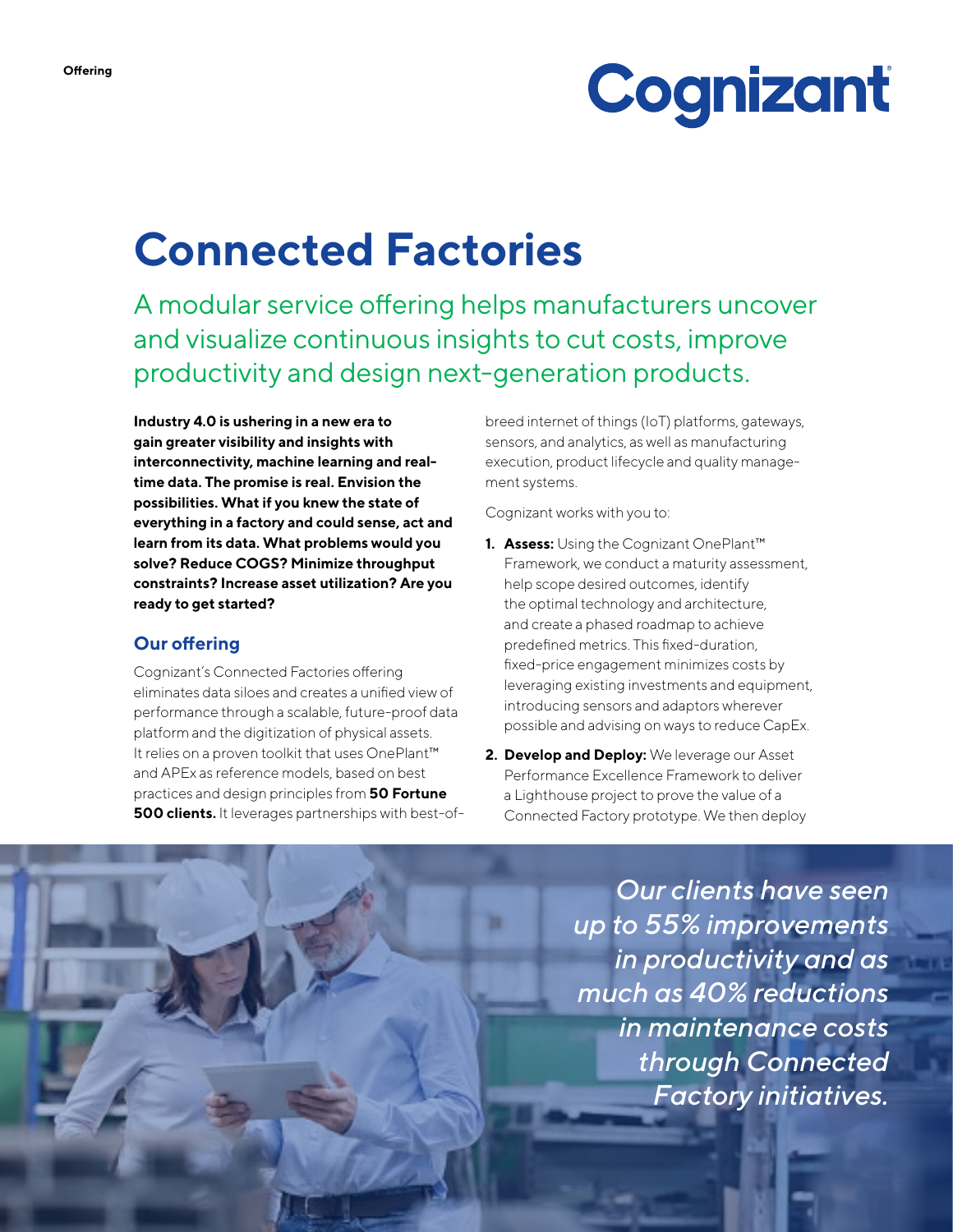

# **Connected Factories**

A modular service offering helps manufacturers uncover and visualize continuous insights to cut costs, improve productivity and design next-generation products.

**Industry 4.0 is ushering in a new era to gain greater visibility and insights with interconnectivity, machine learning and realtime data. The promise is real. Envision the possibilities. What if you knew the state of everything in a factory and could sense, act and learn from its data. What problems would you solve? Reduce COGS? Minimize throughput constraints? Increase asset utilization? Are you ready to get started?** 

### **Our offering**

Cognizant's Connected Factories offering eliminates data siloes and creates a unified view of performance through a scalable, future-proof data platform and the digitization of physical assets. It relies on a proven toolkit that uses OnePlant™ and APEx as reference models, based on best practices and design principles from **50 Fortune 500 clients.** It leverages partnerships with best-ofbreed internet of things (IoT) platforms, gateways, sensors, and analytics, as well as manufacturing execution, product lifecycle and quality management systems.

Cognizant works with you to:

- **1. Assess:** Using the Cognizant OnePlant™ Framework, we conduct a maturity assessment, help scope desired outcomes, identify the optimal technology and architecture, and create a phased roadmap to achieve predefined metrics. This fixed-duration, fixed-price engagement minimizes costs by leveraging existing investments and equipment, introducing sensors and adaptors wherever possible and advising on ways to reduce CapEx.
- **2. Develop and Deploy:** We leverage our Asset Performance Excellence Framework to deliver a Lighthouse project to prove the value of a Connected Factory prototype. We then deploy

*Our clients have seen up to 55% improvements in productivity and as much as 40% reductions in maintenance costs through Connected Factory initiatives.*